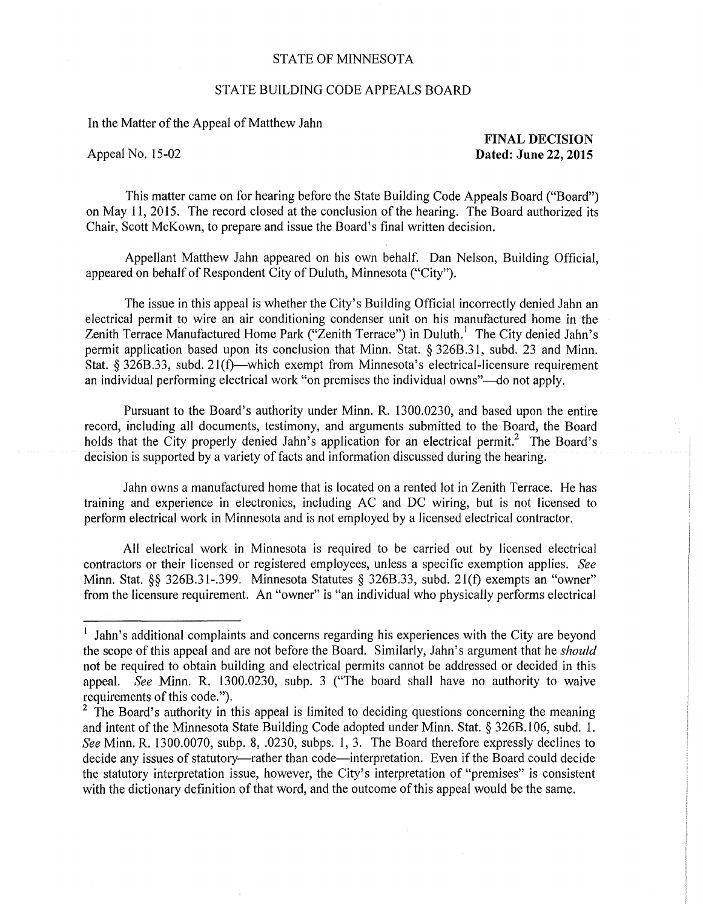## STATE OF MINNESOTA

## STATE BUILDING CODE APPEALS BOARD

In the Matter of the Appeal of Matthew Jahn

FINAL DECISION Appeal No. 15-02 **Dated: June** 22, **2015** 

This matter came on for hearing before the State Building Code Appeals Board ("Board") on May 11, 2015. The record closed at the conclusion of the hearing. The Board authorized its Chair, Scott McKown, to prepare and issue the Board's finai written decision.

Appellant Matthew Jahn appeared on his own behalf. Dan Nelson, Building Official, appeared on behalf of Respondent City of Duluth, Minnesota ("City").

The issue in this appeal is whether the City's Building Official incorrectly denied Jahn an electrical permit to wire an air conditioning condenser unit on his manufactured home in the Zenith Terrace Manufactured Home Park ("Zenith Terrace") in Duluth.<sup>1</sup> The City denied Jahn's permit application based upon its conclusion that Minn. Stat. § 326B.3 l, subd. 23 and Minn. Stat.  $\delta$  326B.33, subd. 21(f)—which exempt from Minnesota's electrical-licensure requirement an individual performing electrical work "on premises the individual owns"—do not apply.

Pursuant to the Board's authority under Minn. R. 1300.0230, and based upon the entire record, including all documents, testimony, and arguments submitted to the Board, the Board holds that the City properly denied Jahn's application for an electrical permit.<sup>2</sup> The Board's decision is supported by a variety of facts and information discussed during the hearing.

Jahn owns a manufactured home that is located on a rented lot in Zenith Terrace. He has training and experience in electronics, including AC and DC wiring, but is not licensed to perform electrical work in Minnesota and is not employed by a licensed electrical contractor.

All electrical work in Minnesota is required to be carried out by licensed electrical contractors or their licensed or registered employees, unless a specific exemption applies. *See*  Minn. Stat. §§ 3268.31-.399. Minnesota Statutes§ 326B.33, subd. 2l(f) exempts an "owner" from the licensure requirement. An "owner" is "an individual who physically performs electrical

 $1$  Jahn's additional complaints and concerns regarding his experiences with the City are beyond the scope of this appeal and are not before the Board. Similarly, Jahn's argument that he *should*  not be required to obtain building and electrical permits cannot be addressed or decided in this appeal. *See* Minn. R. 1300.0230, subp. 3 ("The board shall have no authority to waive requirements of this code.").

 $2 \text{ The Board's authority in this appeal is limited to deciding questions concerning the meaning.}$ and intent of the Minnesota State Building Code adopted under Minn. Stat. § 326B.106, subd. 1. *See* Minn. R. 1300.0070, subp. 8, .0230, subps. 1, 3. The Board therefore expressly declines to decide any issues of statutory—rather than code—interpretation. Even if the Board could decide the statutory interpretation issue, however, the City's interpretation of "premises" is consistent with the dictionary definition of that word, and the outcome of this appeal would be the same.